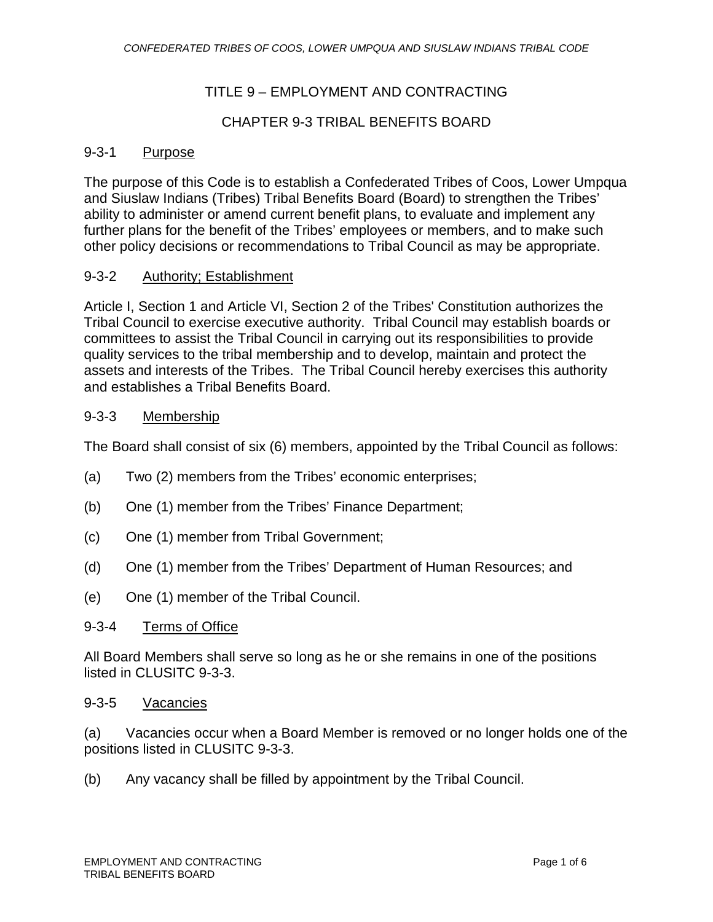# TITLE 9 – EMPLOYMENT AND CONTRACTING

### CHAPTER 9-3 TRIBAL BENEFITS BOARD

#### 9-3-1 Purpose

The purpose of this Code is to establish a Confederated Tribes of Coos, Lower Umpqua and Siuslaw Indians (Tribes) Tribal Benefits Board (Board) to strengthen the Tribes' ability to administer or amend current benefit plans, to evaluate and implement any further plans for the benefit of the Tribes' employees or members, and to make such other policy decisions or recommendations to Tribal Council as may be appropriate.

#### 9-3-2 Authority; Establishment

Article I, Section 1 and Article VI, Section 2 of the Tribes' Constitution authorizes the Tribal Council to exercise executive authority. Tribal Council may establish boards or committees to assist the Tribal Council in carrying out its responsibilities to provide quality services to the tribal membership and to develop, maintain and protect the assets and interests of the Tribes. The Tribal Council hereby exercises this authority and establishes a Tribal Benefits Board.

#### 9-3-3 Membership

The Board shall consist of six (6) members, appointed by the Tribal Council as follows:

- (a) Two (2) members from the Tribes' economic enterprises;
- (b) One (1) member from the Tribes' Finance Department;
- (c) One (1) member from Tribal Government;
- (d) One (1) member from the Tribes' Department of Human Resources; and
- (e) One (1) member of the Tribal Council.

#### 9-3-4 Terms of Office

All Board Members shall serve so long as he or she remains in one of the positions listed in CLUSITC 9-3-3.

#### 9-3-5 Vacancies

(a) Vacancies occur when a Board Member is removed or no longer holds one of the positions listed in CLUSITC 9-3-3.

(b) Any vacancy shall be filled by appointment by the Tribal Council.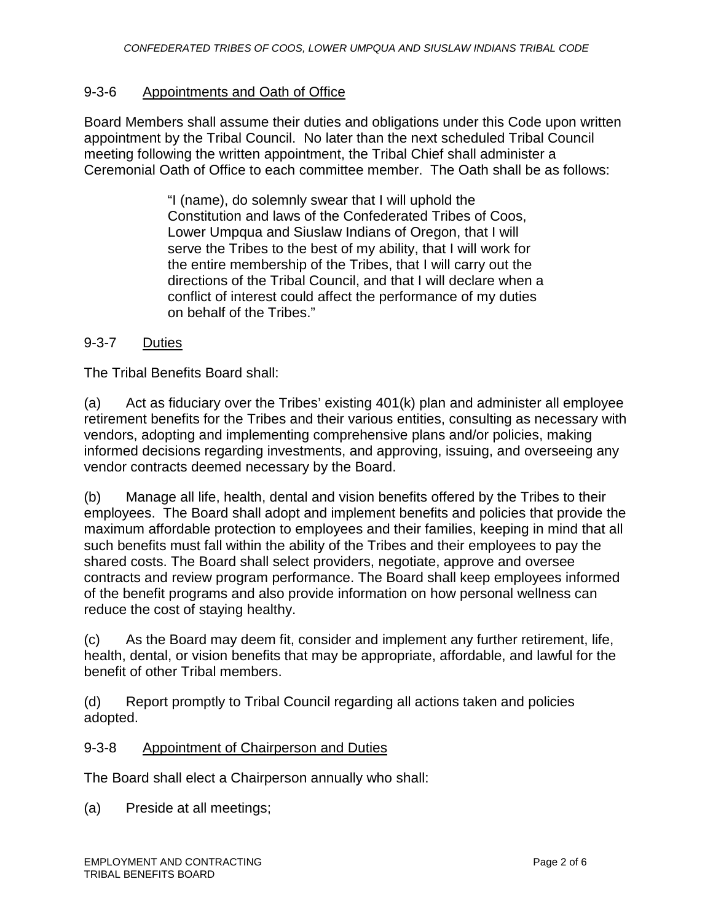# 9-3-6 Appointments and Oath of Office

Board Members shall assume their duties and obligations under this Code upon written appointment by the Tribal Council. No later than the next scheduled Tribal Council meeting following the written appointment, the Tribal Chief shall administer a Ceremonial Oath of Office to each committee member. The Oath shall be as follows:

> "I (name), do solemnly swear that I will uphold the Constitution and laws of the Confederated Tribes of Coos, Lower Umpqua and Siuslaw Indians of Oregon, that I will serve the Tribes to the best of my ability, that I will work for the entire membership of the Tribes, that I will carry out the directions of the Tribal Council, and that I will declare when a conflict of interest could affect the performance of my duties on behalf of the Tribes."

### 9-3-7 Duties

The Tribal Benefits Board shall:

(a) Act as fiduciary over the Tribes' existing 401(k) plan and administer all employee retirement benefits for the Tribes and their various entities, consulting as necessary with vendors, adopting and implementing comprehensive plans and/or policies, making informed decisions regarding investments, and approving, issuing, and overseeing any vendor contracts deemed necessary by the Board.

(b) Manage all life, health, dental and vision benefits offered by the Tribes to their employees. The Board shall adopt and implement benefits and policies that provide the maximum affordable protection to employees and their families, keeping in mind that all such benefits must fall within the ability of the Tribes and their employees to pay the shared costs. The Board shall select providers, negotiate, approve and oversee contracts and review program performance. The Board shall keep employees informed of the benefit programs and also provide information on how personal wellness can reduce the cost of staying healthy.

(c) As the Board may deem fit, consider and implement any further retirement, life, health, dental, or vision benefits that may be appropriate, affordable, and lawful for the benefit of other Tribal members.

(d) Report promptly to Tribal Council regarding all actions taken and policies adopted.

### 9-3-8 Appointment of Chairperson and Duties

The Board shall elect a Chairperson annually who shall:

(a) Preside at all meetings;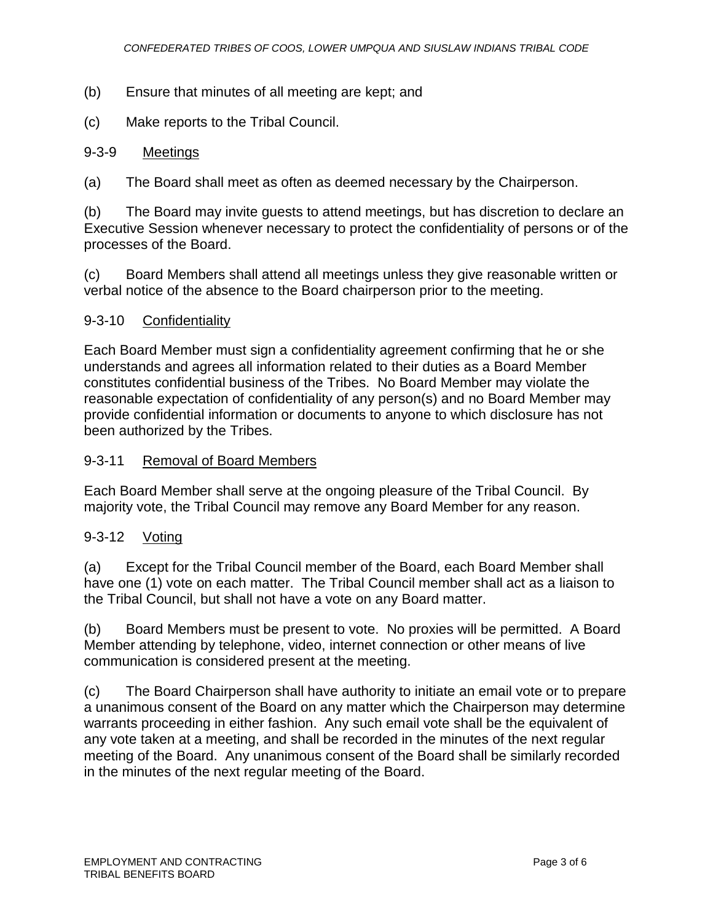- (b) Ensure that minutes of all meeting are kept; and
- (c) Make reports to the Tribal Council.

### 9-3-9 Meetings

(a) The Board shall meet as often as deemed necessary by the Chairperson.

(b) The Board may invite guests to attend meetings, but has discretion to declare an Executive Session whenever necessary to protect the confidentiality of persons or of the processes of the Board.

(c) Board Members shall attend all meetings unless they give reasonable written or verbal notice of the absence to the Board chairperson prior to the meeting.

### 9-3-10 Confidentiality

Each Board Member must sign a confidentiality agreement confirming that he or she understands and agrees all information related to their duties as a Board Member constitutes confidential business of the Tribes. No Board Member may violate the reasonable expectation of confidentiality of any person(s) and no Board Member may provide confidential information or documents to anyone to which disclosure has not been authorized by the Tribes.

### 9-3-11 Removal of Board Members

Each Board Member shall serve at the ongoing pleasure of the Tribal Council. By majority vote, the Tribal Council may remove any Board Member for any reason.

# 9-3-12 Voting

(a) Except for the Tribal Council member of the Board, each Board Member shall have one (1) vote on each matter. The Tribal Council member shall act as a liaison to the Tribal Council, but shall not have a vote on any Board matter.

(b) Board Members must be present to vote. No proxies will be permitted. A Board Member attending by telephone, video, internet connection or other means of live communication is considered present at the meeting.

(c) The Board Chairperson shall have authority to initiate an email vote or to prepare a unanimous consent of the Board on any matter which the Chairperson may determine warrants proceeding in either fashion. Any such email vote shall be the equivalent of any vote taken at a meeting, and shall be recorded in the minutes of the next regular meeting of the Board. Any unanimous consent of the Board shall be similarly recorded in the minutes of the next regular meeting of the Board.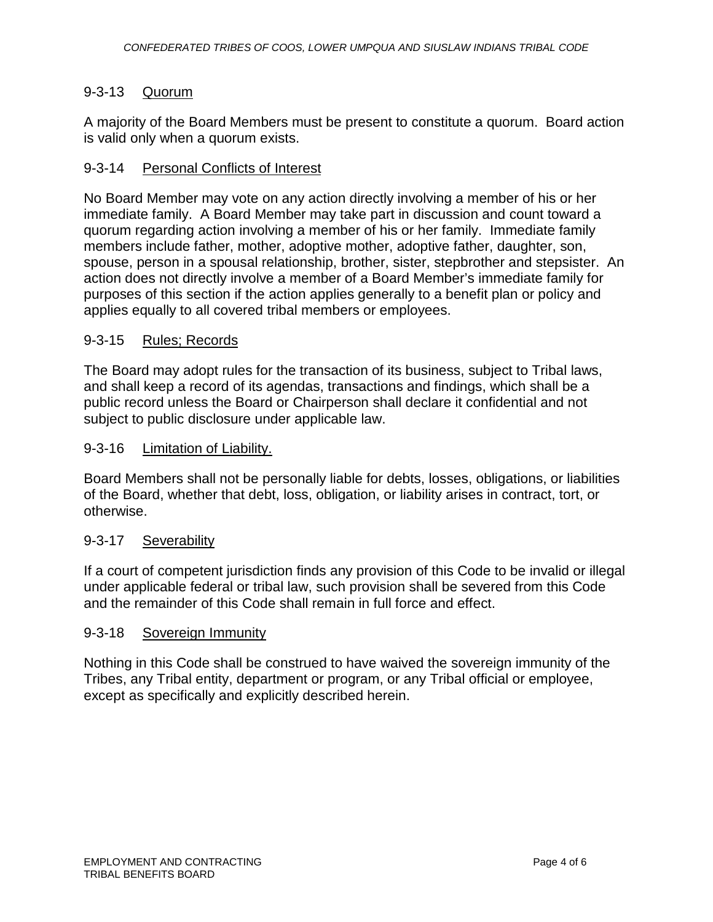# 9-3-13 Quorum

A majority of the Board Members must be present to constitute a quorum. Board action is valid only when a quorum exists.

# 9-3-14 Personal Conflicts of Interest

No Board Member may vote on any action directly involving a member of his or her immediate family. A Board Member may take part in discussion and count toward a quorum regarding action involving a member of his or her family. Immediate family members include father, mother, adoptive mother, adoptive father, daughter, son, spouse, person in a spousal relationship, brother, sister, stepbrother and stepsister. An action does not directly involve a member of a Board Member's immediate family for purposes of this section if the action applies generally to a benefit plan or policy and applies equally to all covered tribal members or employees.

### 9-3-15 Rules; Records

The Board may adopt rules for the transaction of its business, subject to Tribal laws, and shall keep a record of its agendas, transactions and findings, which shall be a public record unless the Board or Chairperson shall declare it confidential and not subject to public disclosure under applicable law.

#### 9-3-16 Limitation of Liability.

Board Members shall not be personally liable for debts, losses, obligations, or liabilities of the Board, whether that debt, loss, obligation, or liability arises in contract, tort, or otherwise.

### 9-3-17 Severability

If a court of competent jurisdiction finds any provision of this Code to be invalid or illegal under applicable federal or tribal law, such provision shall be severed from this Code and the remainder of this Code shall remain in full force and effect.

### 9-3-18 Sovereign Immunity

Nothing in this Code shall be construed to have waived the sovereign immunity of the Tribes, any Tribal entity, department or program, or any Tribal official or employee, except as specifically and explicitly described herein.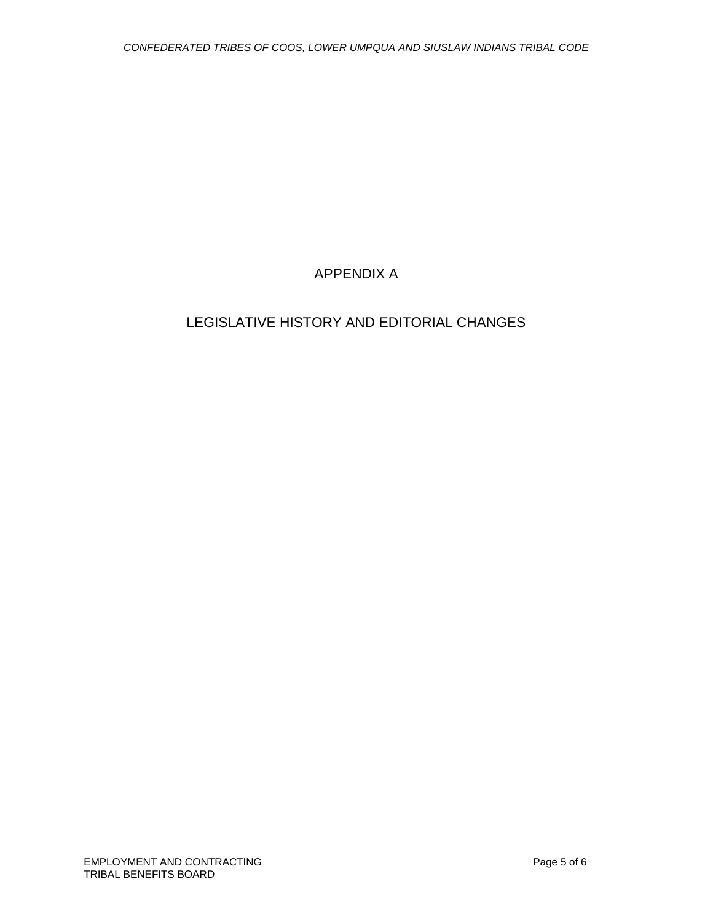# APPENDIX A

# LEGISLATIVE HISTORY AND EDITORIAL CHANGES